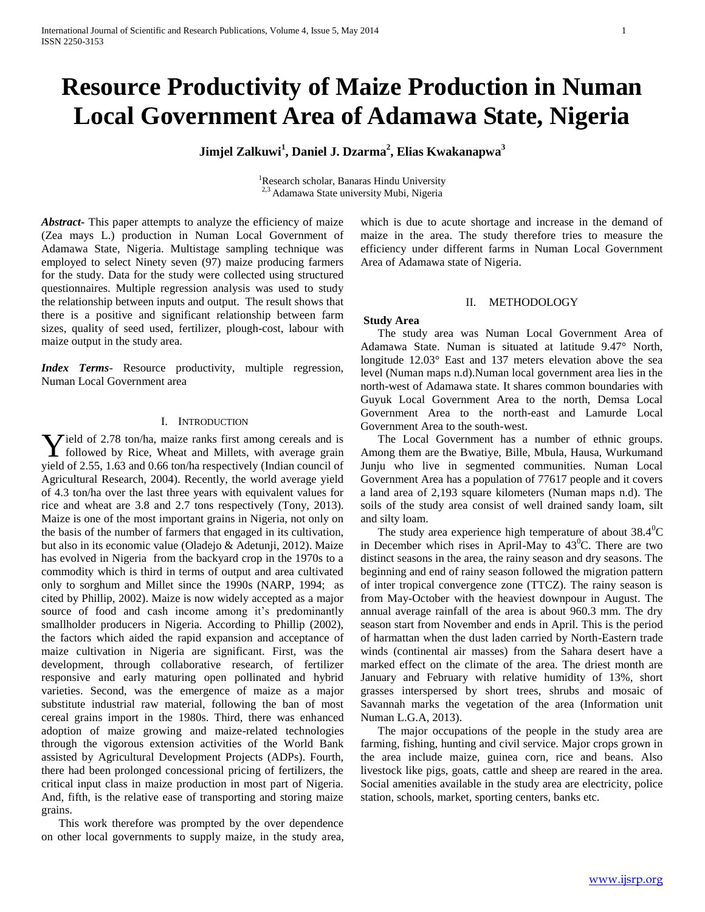# **Resource Productivity of Maize Production in Numan Local Government Area of Adamawa State, Nigeria**

**Jimjel Zalkuwi<sup>1</sup> , Daniel J. Dzarma<sup>2</sup> , Elias Kwakanapwa<sup>3</sup>**

<sup>1</sup>Research scholar, Banaras Hindu University <sup>2,3</sup> Adamawa State university Mubi, Nigeria

*Abstract***-** This paper attempts to analyze the efficiency of maize (Zea mays L.) production in Numan Local Government of Adamawa State, Nigeria. Multistage sampling technique was employed to select Ninety seven (97) maize producing farmers for the study. Data for the study were collected using structured questionnaires. Multiple regression analysis was used to study the relationship between inputs and output. The result shows that there is a positive and significant relationship between farm sizes, quality of seed used, fertilizer, plough-cost, labour with maize output in the study area.

*Index Terms*- Resource productivity, multiple regression, Numan Local Government area

## I. INTRODUCTION

ield of 2.78 ton/ha, maize ranks first among cereals and is **Y** ield of 2.78 ton/ha, maize ranks first among cereals and is<br>followed by Rice, Wheat and Millets, with average grain yield of 2.55, 1.63 and 0.66 ton/ha respectively (Indian council of Agricultural Research, 2004). Recently, the world average yield of 4.3 ton/ha over the last three years with equivalent values for rice and wheat are 3.8 and 2.7 tons respectively (Tony, 2013). Maize is one of the most important grains in Nigeria, not only on the basis of the number of farmers that engaged in its cultivation, but also in its economic value (Oladejo & Adetunji, 2012). Maize has evolved in Nigeria from the backyard crop in the 1970s to a commodity which is third in terms of output and area cultivated only to sorghum and Millet since the 1990s (NARP, 1994; as cited by Phillip, 2002). Maize is now widely accepted as a major source of food and cash income among it's predominantly smallholder producers in Nigeria. According to Phillip (2002), the factors which aided the rapid expansion and acceptance of maize cultivation in Nigeria are significant. First, was the development, through collaborative research, of fertilizer responsive and early maturing open pollinated and hybrid varieties. Second, was the emergence of maize as a major substitute industrial raw material, following the ban of most cereal grains import in the 1980s. Third, there was enhanced adoption of maize growing and maize-related technologies through the vigorous extension activities of the World Bank assisted by Agricultural Development Projects (ADPs). Fourth, there had been prolonged concessional pricing of fertilizers, the critical input class in maize production in most part of Nigeria. And, fifth, is the relative ease of transporting and storing maize grains.

 This work therefore was prompted by the over dependence on other local governments to supply maize, in the study area, which is due to acute shortage and increase in the demand of maize in the area. The study therefore tries to measure the efficiency under different farms in Numan Local Government Area of Adamawa state of Nigeria.

# II. METHODOLOGY

# **Study Area**

 The study area was Numan Local Government Area of Adamawa State. Numan is situated at latitude 9.47° North, longitude 12.03° East and 137 meters elevation above the sea level (Numan maps n.d).Numan local government area lies in the north-west of Adamawa state. It shares common boundaries with Guyuk Local Government Area to the north, Demsa Local Government Area to the north-east and Lamurde Local Government Area to the south-west.

 The Local Government has a number of ethnic groups. Among them are the Bwatiye, Bille, Mbula, Hausa, Wurkumand Junju who live in segmented communities. Numan Local Government Area has a population of 77617 people and it covers a land area of 2,193 square kilometers (Numan maps n.d). The soils of the study area consist of well drained sandy loam, silt and silty loam.

The study area experience high temperature of about  $38.4^{\circ}$ C in December which rises in April-May to  $43^{\circ}$ C. There are two distinct seasons in the area, the rainy season and dry seasons. The beginning and end of rainy season followed the migration pattern of inter tropical convergence zone (TTCZ). The rainy season is from May-October with the heaviest downpour in August. The annual average rainfall of the area is about 960.3 mm. The dry season start from November and ends in April. This is the period of harmattan when the dust laden carried by North-Eastern trade winds (continental air masses) from the Sahara desert have a marked effect on the climate of the area. The driest month are January and February with relative humidity of 13%, short grasses interspersed by short trees, shrubs and mosaic of Savannah marks the vegetation of the area (Information unit Numan L.G.A, 2013).

 The major occupations of the people in the study area are farming, fishing, hunting and civil service. Major crops grown in the area include maize, guinea corn, rice and beans. Also livestock like pigs, goats, cattle and sheep are reared in the area. Social amenities available in the study area are electricity, police station, schools, market, sporting centers, banks etc.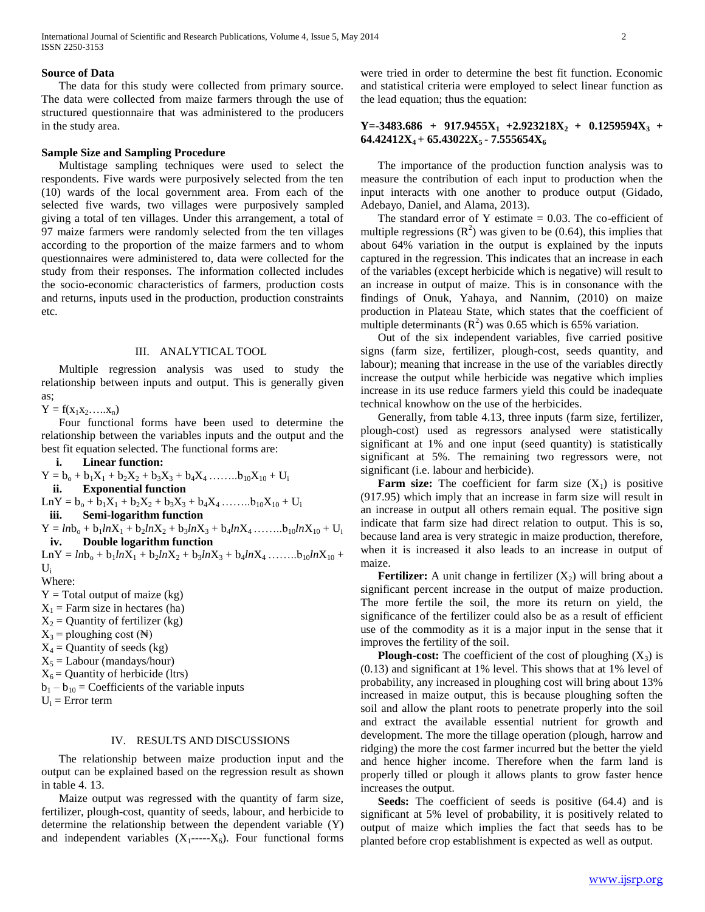# **Source of Data**

 The data for this study were collected from primary source. The data were collected from maize farmers through the use of structured questionnaire that was administered to the producers in the study area.

## **Sample Size and Sampling Procedure**

 Multistage sampling techniques were used to select the respondents. Five wards were purposively selected from the ten (10) wards of the local government area. From each of the selected five wards, two villages were purposively sampled giving a total of ten villages. Under this arrangement, a total of 97 maize farmers were randomly selected from the ten villages according to the proportion of the maize farmers and to whom questionnaires were administered to, data were collected for the study from their responses. The information collected includes the socio-economic characteristics of farmers, production costs and returns, inputs used in the production, production constraints etc.

#### III. ANALYTICAL TOOL

 Multiple regression analysis was used to study the relationship between inputs and output. This is generally given as;

 $Y = f(x_1x_2,...x_n)$ 

 Four functional forms have been used to determine the relationship between the variables inputs and the output and the best fit equation selected. The functional forms are:

**i. Linear function:**   $Y = b_0 + b_1X_1 + b_2X_2 + b_3X_3 + b_4X_4 + \ldots + b_{10}X_{10} + U_i$ **ii. Exponential function**  $LnY = b_0 + b_1X_1 + b_2X_2 + b_3X_3 + b_4X_4 + \ldots + b_{10}X_{10} + U_i$ **iii. Semi-logarithm function**  $Y = ln b_0 + b_1 ln X_1 + b_2 ln X_2 + b_3 ln X_3 + b_4 ln X_4 + \ldots + b_{10} ln X_{10} + U_1$ **iv. Double logarithm function**  $LnY = lnb<sub>o</sub> + b<sub>1</sub>lnX<sub>1</sub> + b<sub>2</sub>lnX<sub>2</sub> + b<sub>3</sub>lnX<sub>3</sub> + b<sub>4</sub>lnX<sub>4</sub> .......b<sub>10</sub>lnX<sub>10</sub> +$  $\mathbf{U}$ Where:  $Y = Total$  output of maize (kg)  $X_1$  = Farm size in hectares (ha)  $X_2$  = Quantity of fertilizer (kg)  $X_3$  = ploughing cost ( $\mathbb{N}$ )  $X_4$  = Quantity of seeds (kg)  $X_5 =$  Labour (mandays/hour)  $X_6$  = Quantity of herbicide (ltrs)  $b_1 - b_{10} = Coefficients$  of the variable inputs  $U_i$  = Error term

### IV. RESULTS AND DISCUSSIONS

 The relationship between maize production input and the output can be explained based on the regression result as shown in table 4. 13.

 Maize output was regressed with the quantity of farm size, fertilizer, plough-cost, quantity of seeds, labour, and herbicide to determine the relationship between the dependent variable (Y) and independent variables  $(X_1$ ---- $X_6$ ). Four functional forms were tried in order to determine the best fit function. Economic and statistical criteria were employed to select linear function as the lead equation; thus the equation:

# $Y = -3483.686 + 917.9455X_1 + 2.923218X_2 + 0.1259594X_3 +$ **64.42412X4 + 65.43022X5 - 7.555654X<sup>6</sup>**

 The importance of the production function analysis was to measure the contribution of each input to production when the input interacts with one another to produce output (Gidado, Adebayo, Daniel, and Alama, 2013).

The standard error of Y estimate  $= 0.03$ . The co-efficient of multiple regressions  $(R^2)$  was given to be (0.64), this implies that about 64% variation in the output is explained by the inputs captured in the regression. This indicates that an increase in each of the variables (except herbicide which is negative) will result to an increase in output of maize. This is in consonance with the findings of Onuk, Yahaya, and Nannim, (2010) on maize production in Plateau State, which states that the coefficient of multiple determinants  $(R^2)$  was 0.65 which is 65% variation.

 Out of the six independent variables, five carried positive signs (farm size, fertilizer, plough-cost, seeds quantity, and labour); meaning that increase in the use of the variables directly increase the output while herbicide was negative which implies increase in its use reduce farmers yield this could be inadequate technical knowhow on the use of the herbicides.

 Generally, from table 4.13, three inputs (farm size, fertilizer, plough-cost) used as regressors analysed were statistically significant at 1% and one input (seed quantity) is statistically significant at 5%. The remaining two regressors were, not significant (i.e. labour and herbicide).

**Farm size:** The coefficient for farm size  $(X_1)$  is positive (917.95) which imply that an increase in farm size will result in an increase in output all others remain equal. The positive sign indicate that farm size had direct relation to output. This is so, because land area is very strategic in maize production, therefore, when it is increased it also leads to an increase in output of maize.

**Fertilizer:** A unit change in fertilizer  $(X_2)$  will bring about a significant percent increase in the output of maize production. The more fertile the soil, the more its return on yield, the significance of the fertilizer could also be as a result of efficient use of the commodity as it is a major input in the sense that it improves the fertility of the soil.

**Plough-cost:** The coefficient of the cost of ploughing  $(X_3)$  is (0.13) and significant at 1% level. This shows that at 1% level of probability, any increased in ploughing cost will bring about 13% increased in maize output, this is because ploughing soften the soil and allow the plant roots to penetrate properly into the soil and extract the available essential nutrient for growth and development. The more the tillage operation (plough, harrow and ridging) the more the cost farmer incurred but the better the yield and hence higher income. Therefore when the farm land is properly tilled or plough it allows plants to grow faster hence increases the output.

 **Seeds:** The coefficient of seeds is positive (64.4) and is significant at 5% level of probability, it is positively related to output of maize which implies the fact that seeds has to be planted before crop establishment is expected as well as output.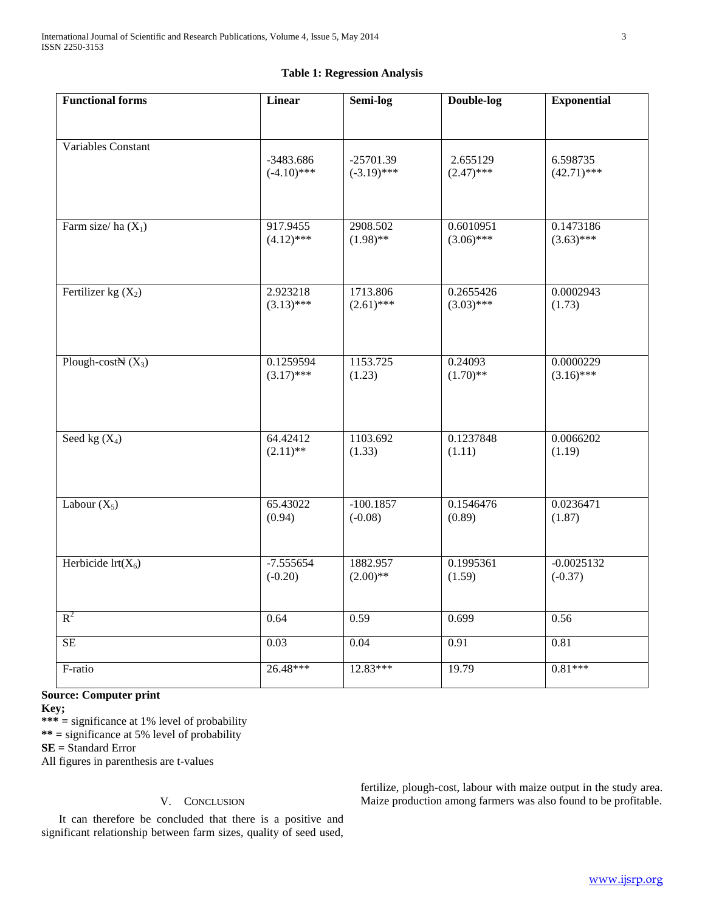# **Table 1: Regression Analysis**

| <b>Functional forms</b>       | Linear        | Semi-log      | Double-log   | <b>Exponential</b> |
|-------------------------------|---------------|---------------|--------------|--------------------|
|                               |               |               |              |                    |
| Variables Constant            |               |               |              |                    |
|                               | -3483.686     | $-25701.39$   | 2.655129     | 6.598735           |
|                               | $(-4.10)$ *** | $(-3.19)$ *** | $(2.47)$ *** | $(42.71)$ ***      |
|                               |               |               |              |                    |
| Farm size/ha $(X_1)$          | 917.9455      | 2908.502      | 0.6010951    | 0.1473186          |
|                               | $(4.12)$ ***  | $(1.98)$ **   | $(3.06)$ *** | $(3.63)$ ***       |
|                               |               |               |              |                    |
| Fertilizer kg $(X_2)$         | 2.923218      | 1713.806      | 0.2655426    | 0.0002943          |
|                               | $(3.13)$ ***  | $(2.61)$ ***  | $(3.03)$ *** | (1.73)             |
|                               |               |               |              |                    |
|                               |               |               |              |                    |
| Plough-cost $\mathbb{N}(X_3)$ | 0.1259594     | 1153.725      | 0.24093      | 0.0000229          |
|                               | $(3.17)$ ***  | (1.23)        | $(1.70)$ **  | $(3.16)$ ***       |
|                               |               |               |              |                    |
|                               |               |               |              |                    |
| Seed kg $(X_4)$               | 64.42412      | 1103.692      | 0.1237848    | 0.0066202          |
|                               | $(2.11)$ **   | (1.33)        | (1.11)       | (1.19)             |
|                               |               |               |              |                    |
| Labour $(X_5)$                | 65.43022      | $-100.1857$   | 0.1546476    | 0.0236471          |
|                               | (0.94)        | $(-0.08)$     | (0.89)       | (1.87)             |
|                               |               |               |              |                    |
| Herbicide $\text{Irt}(X_6)$   | $-7.555654$   | 1882.957      | 0.1995361    | $-0.0025132$       |
|                               | $(-0.20)$     | $(2.00)$ **   | (1.59)       | $(-0.37)$          |
|                               |               |               |              |                    |
| $R^2$                         | 0.64          | 0.59          | 0.699        | 0.56               |
| $\overline{\text{SE}}$        | 0.03          | 0.04          | 0.91         | $\overline{0.81}$  |
| F-ratio                       | 26.48***      | $12.83***$    | 19.79        | $0.81***$          |
|                               |               |               |              |                    |

# **Source: Computer print**

**Key;**

**\*\*\* =** significance at 1% level of probability

**\*\* =** significance at 5% level of probability

**SE =** Standard Error

All figures in parenthesis are t-values

# V. CONCLUSION

 It can therefore be concluded that there is a positive and significant relationship between farm sizes, quality of seed used,

fertilize, plough-cost, labour with maize output in the study area. Maize production among farmers was also found to be profitable.